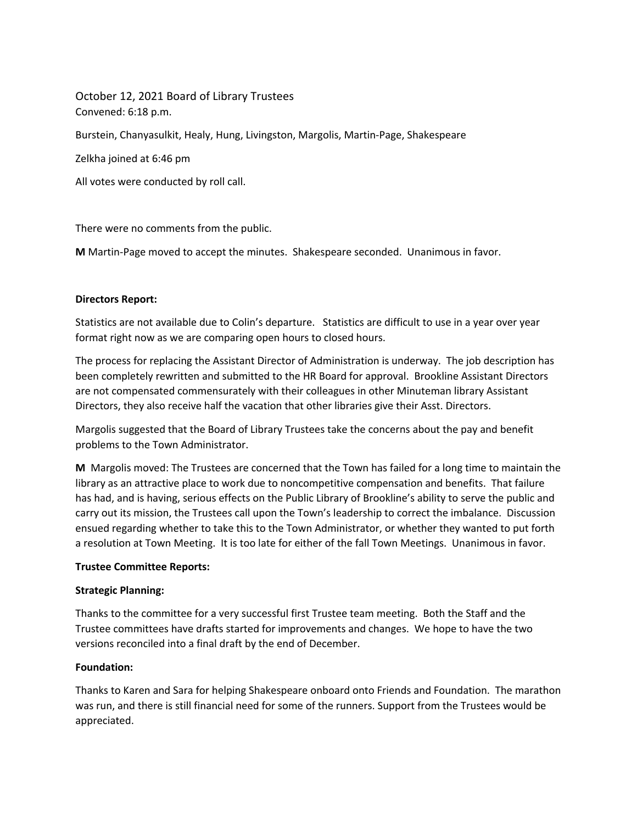October 12, 2021 Board of Library Trustees Convened: 6:18 p.m.

Burstein, Chanyasulkit, Healy, Hung, Livingston, Margolis, Martin-Page, Shakespeare

Zelkha joined at 6:46 pm

All votes were conducted by roll call.

There were no comments from the public.

**M** Martin-Page moved to accept the minutes. Shakespeare seconded. Unanimous in favor.

# **Directors Report:**

Statistics are not available due to Colin's departure. Statistics are difficult to use in a year over year format right now as we are comparing open hours to closed hours.

The process for replacing the Assistant Director of Administration is underway. The job description has been completely rewritten and submitted to the HR Board for approval. Brookline Assistant Directors are not compensated commensurately with their colleagues in other Minuteman library Assistant Directors, they also receive half the vacation that other libraries give their Asst. Directors.

Margolis suggested that the Board of Library Trustees take the concerns about the pay and benefit problems to the Town Administrator.

**M** Margolis moved: The Trustees are concerned that the Town has failed for a long time to maintain the library as an attractive place to work due to noncompetitive compensation and benefits. That failure has had, and is having, serious effects on the Public Library of Brookline's ability to serve the public and carry out its mission, the Trustees call upon the Town's leadership to correct the imbalance. Discussion ensued regarding whether to take this to the Town Administrator, or whether they wanted to put forth a resolution at Town Meeting. It is too late for either of the fall Town Meetings. Unanimous in favor.

# **Trustee Committee Reports:**

# **Strategic Planning:**

Thanks to the committee for a very successful first Trustee team meeting. Both the Staff and the Trustee committees have drafts started for improvements and changes. We hope to have the two versions reconciled into a final draft by the end of December.

# **Foundation:**

Thanks to Karen and Sara for helping Shakespeare onboard onto Friends and Foundation. The marathon was run, and there is still financial need for some of the runners. Support from the Trustees would be appreciated.